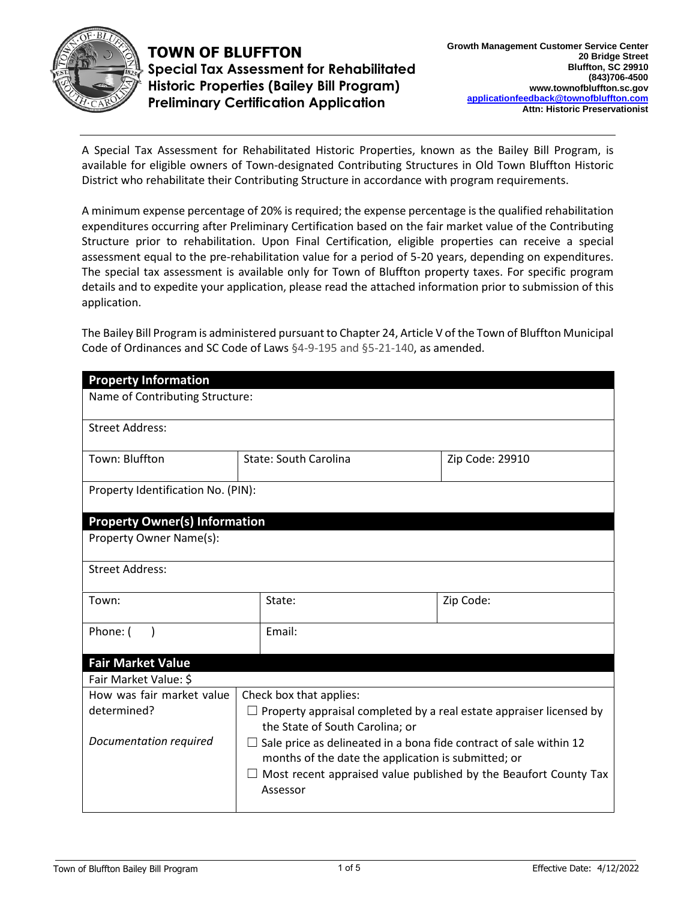

**TOWN OF BLUFFTON Special Tax Assessment for Rehabilitated Historic Properties (Bailey Bill Program) Preliminary Certification Application** 

A Special Tax Assessment for Rehabilitated Historic Properties, known as the Bailey Bill Program, is available for eligible owners of Town-designated Contributing Structures in Old Town Bluffton Historic District who rehabilitate their Contributing Structure in accordance with program requirements.

A minimum expense percentage of 20% is required; the expense percentage is the qualified rehabilitation expenditures occurring after Preliminary Certification based on the fair market value of the Contributing Structure prior to rehabilitation. Upon Final Certification, eligible properties can receive a special assessment equal to the pre-rehabilitation value for a period of 5-20 years, depending on expenditures. The special tax assessment is available only for Town of Bluffton property taxes. For specific program details and to expedite your application, please read the attached information prior to submission of this application.

The Bailey Bill Program is administered pursuant to Chapter 24, Article V of the Town of Bluffton Municipal Code of Ordinances and SC Code of Laws §4-9-195 and §5-21-140, as amended.

| <b>Property Information</b>          |                                                                                                                                  |                 |  |  |
|--------------------------------------|----------------------------------------------------------------------------------------------------------------------------------|-----------------|--|--|
| Name of Contributing Structure:      |                                                                                                                                  |                 |  |  |
| <b>Street Address:</b>               |                                                                                                                                  |                 |  |  |
| Town: Bluffton                       | State: South Carolina                                                                                                            | Zip Code: 29910 |  |  |
| Property Identification No. (PIN):   |                                                                                                                                  |                 |  |  |
| <b>Property Owner(s) Information</b> |                                                                                                                                  |                 |  |  |
| Property Owner Name(s):              |                                                                                                                                  |                 |  |  |
| <b>Street Address:</b>               |                                                                                                                                  |                 |  |  |
| Town:                                | State:                                                                                                                           | Zip Code:       |  |  |
| Phone: (                             | Email:                                                                                                                           |                 |  |  |
| <b>Fair Market Value</b>             |                                                                                                                                  |                 |  |  |
| Fair Market Value: \$                |                                                                                                                                  |                 |  |  |
| How was fair market value            | Check box that applies:                                                                                                          |                 |  |  |
| determined?                          | $\Box$ Property appraisal completed by a real estate appraiser licensed by<br>the State of South Carolina; or                    |                 |  |  |
| Documentation required               | $\Box$ Sale price as delineated in a bona fide contract of sale within 12<br>months of the date the application is submitted; or |                 |  |  |
|                                      | $\Box$ Most recent appraised value published by the Beaufort County Tax<br>Assessor                                              |                 |  |  |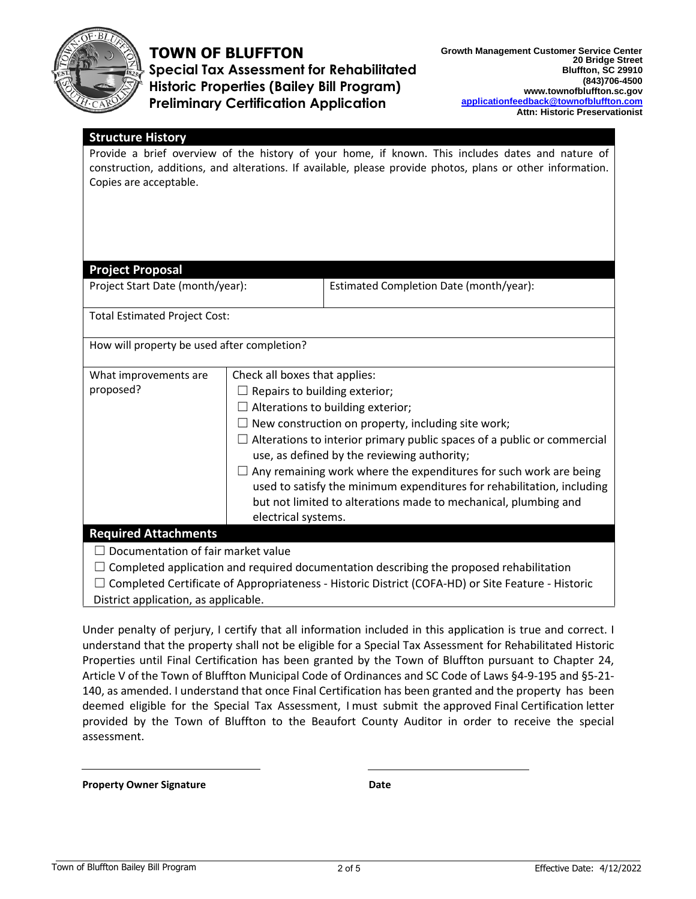

### **TOWN OF BLUFFTON**

**Special Tax Assessment for Rehabilitated Historic Properties (Bailey Bill Program) Preliminary Certification Application** 

### **Structure History**

Provide a brief overview of the history of your home, if known. This includes dates and nature of construction, additions, and alterations. If available, please provide photos, plans or other information. Copies are acceptable.

#### **Project Proposal**

Project Start Date (month/year): Estimated Completion Date (month/year):

Total Estimated Project Cost:

How will property be used after completion?

| What improvements are                                                                             | Check all boxes that applies:                                                                                                                                                                                  |  |  |
|---------------------------------------------------------------------------------------------------|----------------------------------------------------------------------------------------------------------------------------------------------------------------------------------------------------------------|--|--|
| proposed?                                                                                         | Repairs to building exterior;                                                                                                                                                                                  |  |  |
|                                                                                                   | $\Box$ Alterations to building exterior;                                                                                                                                                                       |  |  |
|                                                                                                   | $\Box$ New construction on property, including site work;                                                                                                                                                      |  |  |
|                                                                                                   | $\Box$ Alterations to interior primary public spaces of a public or commercial                                                                                                                                 |  |  |
|                                                                                                   | use, as defined by the reviewing authority;                                                                                                                                                                    |  |  |
|                                                                                                   | Any remaining work where the expenditures for such work are being<br>used to satisfy the minimum expenditures for rehabilitation, including<br>but not limited to alterations made to mechanical, plumbing and |  |  |
|                                                                                                   | electrical systems.                                                                                                                                                                                            |  |  |
| <b>Required Attachments</b>                                                                       |                                                                                                                                                                                                                |  |  |
| Documentation of fair market value                                                                |                                                                                                                                                                                                                |  |  |
| Completed application and required documentation describing the proposed rehabilitation           |                                                                                                                                                                                                                |  |  |
| Completed Certificate of Appropriateness - Historic District (COFA-HD) or Site Feature - Historic |                                                                                                                                                                                                                |  |  |

District application, as applicable.

Under penalty of perjury, I certify that all information included in this application is true and correct. I understand that the property shall not be eligible for a Special Tax Assessment for Rehabilitated Historic Properties until Final Certification has been granted by the Town of Bluffton pursuant to Chapter 24, Article V of the Town of Bluffton Municipal Code of Ordinances and SC Code of Laws §4-9-195 and §5-21- 140, as amended. I understand that once Final Certification has been granted and the property has been deemed eligible for the Special Tax Assessment, I must submit the approved Final Certification letter provided by the Town of Bluffton to the Beaufort County Auditor in order to receive the special assessment.

**Property Owner Signature Date**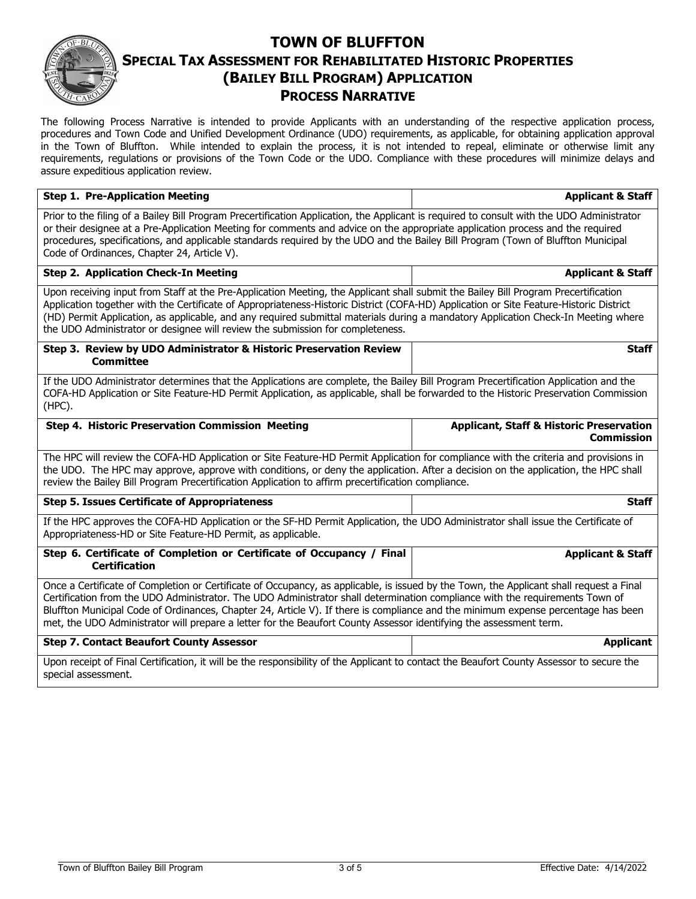### **TOWN OF BLUFFTON SPECIAL TAX ASSESSMENT FOR REHABILITATED HISTORIC PROPERTIES (BAILEY BILL PROGRAM) APPLICATION PROCESS NARRATIVE**

The following Process Narrative is intended to provide Applicants with an understanding of the respective application process, procedures and Town Code and Unified Development Ordinance (UDO) requirements, as applicable, for obtaining application approval in the Town of Bluffton. While intended to explain the process, it is not intended to repeal, eliminate or otherwise limit any requirements, regulations or provisions of the Town Code or the UDO. Compliance with these procedures will minimize delays and assure expeditious application review.

| <b>Step 1. Pre-Application Meeting</b>                                                                                                                                                                                                                                                                                                                                                                                                                                                                                             | <b>Applicant &amp; Staff</b>                                                                                                              |  |  |
|------------------------------------------------------------------------------------------------------------------------------------------------------------------------------------------------------------------------------------------------------------------------------------------------------------------------------------------------------------------------------------------------------------------------------------------------------------------------------------------------------------------------------------|-------------------------------------------------------------------------------------------------------------------------------------------|--|--|
| Prior to the filing of a Bailey Bill Program Precertification Application, the Applicant is required to consult with the UDO Administrator<br>or their designee at a Pre-Application Meeting for comments and advice on the appropriate application process and the required<br>procedures, specifications, and applicable standards required by the UDO and the Bailey Bill Program (Town of Bluffton Municipal<br>Code of Ordinances, Chapter 24, Article V).                                                                    |                                                                                                                                           |  |  |
| <b>Step 2. Application Check-In Meeting</b>                                                                                                                                                                                                                                                                                                                                                                                                                                                                                        | <b>Applicant &amp; Staff</b>                                                                                                              |  |  |
| Upon receiving input from Staff at the Pre-Application Meeting, the Applicant shall submit the Bailey Bill Program Precertification<br>Application together with the Certificate of Appropriateness-Historic District (COFA-HD) Application or Site Feature-Historic District<br>(HD) Permit Application, as applicable, and any required submittal materials during a mandatory Application Check-In Meeting where<br>the UDO Administrator or designee will review the submission for completeness.                              |                                                                                                                                           |  |  |
| Step 3. Review by UDO Administrator & Historic Preservation Review<br><b>Committee</b>                                                                                                                                                                                                                                                                                                                                                                                                                                             | <b>Staff</b>                                                                                                                              |  |  |
| If the UDO Administrator determines that the Applications are complete, the Bailey Bill Program Precertification Application and the<br>COFA-HD Application or Site Feature-HD Permit Application, as applicable, shall be forwarded to the Historic Preservation Commission<br>(HPC).                                                                                                                                                                                                                                             |                                                                                                                                           |  |  |
| Step 4. Historic Preservation Commission Meeting                                                                                                                                                                                                                                                                                                                                                                                                                                                                                   | <b>Applicant, Staff &amp; Historic Preservation</b><br><b>Commission</b>                                                                  |  |  |
| The HPC will review the COFA-HD Application or Site Feature-HD Permit Application for compliance with the criteria and provisions in<br>the UDO. The HPC may approve, approve with conditions, or deny the application. After a decision on the application, the HPC shall<br>review the Bailey Bill Program Precertification Application to affirm precertification compliance.                                                                                                                                                   |                                                                                                                                           |  |  |
| <b>Step 5. Issues Certificate of Appropriateness</b>                                                                                                                                                                                                                                                                                                                                                                                                                                                                               | <b>Staff</b>                                                                                                                              |  |  |
| If the HPC approves the COFA-HD Application or the SF-HD Permit Application, the UDO Administrator shall issue the Certificate of<br>Appropriateness-HD or Site Feature-HD Permit, as applicable.                                                                                                                                                                                                                                                                                                                                  |                                                                                                                                           |  |  |
| Step 6. Certificate of Completion or Certificate of Occupancy / Final<br><b>Certification</b>                                                                                                                                                                                                                                                                                                                                                                                                                                      | <b>Applicant &amp; Staff</b>                                                                                                              |  |  |
| Once a Certificate of Completion or Certificate of Occupancy, as applicable, is issued by the Town, the Applicant shall request a Final<br>Certification from the UDO Administrator. The UDO Administrator shall determination compliance with the requirements Town of<br>Bluffton Municipal Code of Ordinances, Chapter 24, Article V). If there is compliance and the minimum expense percentage has been<br>met, the UDO Administrator will prepare a letter for the Beaufort County Assessor identifying the assessment term. |                                                                                                                                           |  |  |
| <b>Step 7. Contact Beaufort County Assessor</b>                                                                                                                                                                                                                                                                                                                                                                                                                                                                                    | <b>Applicant</b>                                                                                                                          |  |  |
| special assessment.                                                                                                                                                                                                                                                                                                                                                                                                                                                                                                                | Upon receipt of Final Certification, it will be the responsibility of the Applicant to contact the Beaufort County Assessor to secure the |  |  |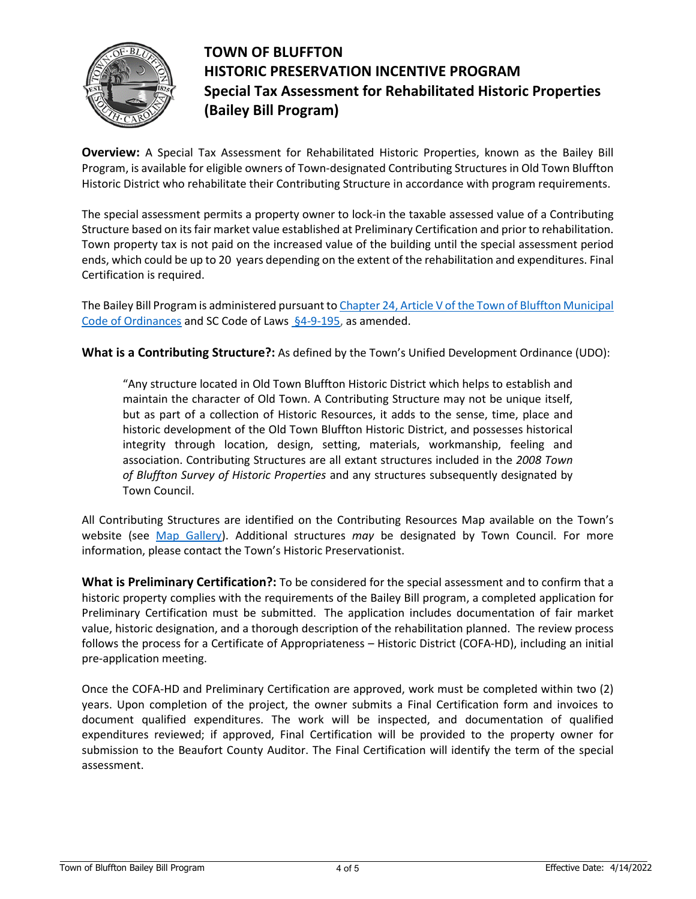

## **TOWN OF BLUFFTON HISTORIC PRESERVATION INCENTIVE PROGRAM Special Tax Assessment for Rehabilitated Historic Properties (Bailey Bill Program)**

**Overview:** A Special Tax Assessment for Rehabilitated Historic Properties, known as the Bailey Bill Program, is available for eligible owners of Town-designated Contributing Structures in Old Town Bluffton Historic District who rehabilitate their Contributing Structure in accordance with program requirements.

The special assessment permits a property owner to lock-in the taxable assessed value of a Contributing Structure based on its fair market value established at Preliminary Certification and prior to rehabilitation. Town property tax is not paid on the increased value of the building until the special assessment period ends, which could be up to 20 years depending on the extent of the rehabilitation and expenditures. Final Certification is required.

The Bailey Bill Program is administered pursuant to Chapter 24, Article V of the Town of Bluffton Municipal [Code of Ordinances](https://library.municode.com/sc/bluffton/ordinances/code_of_ordinances?nodeId=1126970) and SC Code of Law[s §4-9-195,](https://www.scstatehouse.gov/code/t04c009.php) as amended.

**What is a Contributing Structure?:** As defined by the Town's Unified Development Ordinance (UDO):

"Any structure located in Old Town Bluffton Historic District which helps to establish and maintain the character of Old Town. A Contributing Structure may not be unique itself, but as part of a collection of Historic Resources, it adds to the sense, time, place and historic development of the Old Town Bluffton Historic District, and possesses historical integrity through location, design, setting, materials, workmanship, feeling and association. Contributing Structures are all extant structures included in the *2008 Town of Bluffton Survey of Historic Properties* and any structures subsequently designated by Town Council.

All Contributing Structures are identified on the Contributing Resources Map available on the Town's website (see [Map Gallery\)](https://www.townofbluffton.sc.gov/686/Map-Gallery). Additional structures *may* be designated by Town Council. For more information, please contact the Town's Historic Preservationist.

**What is Preliminary Certification?:** To be considered for the special assessment and to confirm that a historic property complies with the requirements of the Bailey Bill program, a completed application for Preliminary Certification must be submitted. The application includes documentation of fair market value, historic designation, and a thorough description of the rehabilitation planned. The review process follows the process for a Certificate of Appropriateness – Historic District (COFA-HD), including an initial pre-application meeting.

Once the COFA-HD and Preliminary Certification are approved, work must be completed within two (2) years. Upon completion of the project, the owner submits a Final Certification form and invoices to document qualified expenditures. The work will be inspected, and documentation of qualified expenditures reviewed; if approved, Final Certification will be provided to the property owner for submission to the Beaufort County Auditor. The Final Certification will identify the term of the special assessment.